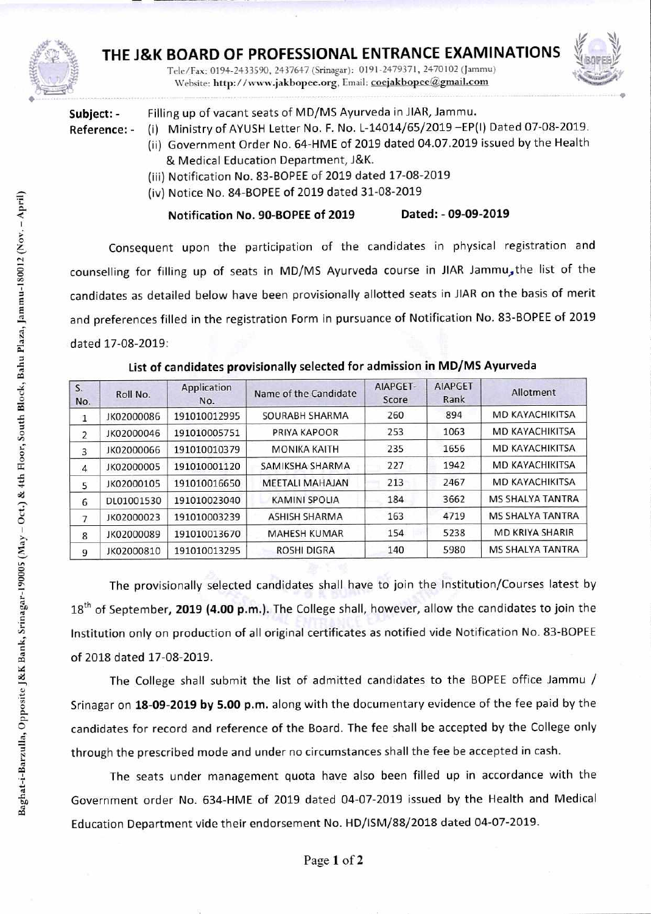

## THE J&K BOARD OF PROFESSIONAL ENTRANCE EXAMINATIONS

Tele/Fax: 0194-2433590, 2437647 (Srinagar): 0191-2479371, 2470102 (Jammu) Website: http://www.jakbopee.org, Email: coejakbopee@gmail.com



| Subject: -   | Filling up o |         |
|--------------|--------------|---------|
| Reference: - | (i)          | Ministr |

f vacant seats of MD/MS Ayurveda in JIAR, Jammu.

- **Reference:** (i) Ministry of AYUSH Letter No. F. No. L-14014/65/2019 —EP(I) Dated 07-08-2019. (ii) Government Order No. 64-HME of 2019 dated 04.07.2019 issued by the Health & Medical Education Department, J&K.
	- (iii) Notification No. 83-BOPEE of 2019 dated 17-08-2019
	- (iv) Notice No. 84-BOPEE of 2019 dated 31-08-2019

**Notification No. 90-BOPEE of 2019 Dated: - 09-09-2019** 

Consequent upon the participation of the candidates in physical registration and counselling for filling up of seats in MD/MS Ayurveda course in JIAR Jammu, the list of the candidates as detailed below have been provisionally allotted seats in JIAR on the basis of merit and preferences filled in the registration Form in pursuance of Notification No. 83-BOPEE of 2019 dated 17-08-2019:

| S <sub>x</sub><br>No. | Roll No.   | Application<br>No. | Name of the Candidate  | AIAPGET-<br>Score | <b>AIAPGET</b><br>Rank | Allotment               |
|-----------------------|------------|--------------------|------------------------|-------------------|------------------------|-------------------------|
| 1                     | JK02000086 | 191010012995       | SOURABH SHARMA         | 260               | 894                    | MD KAYACHIKITSA         |
| $\overline{2}$        | JK02000046 | 191010005751       | PRIYA KAPOOR           | 253               | 1063                   | <b>MD KAYACHIKITSA</b>  |
| 3                     | JK02000066 | 191010010379       | <b>MONIKA KAITH</b>    | 235               | 1656                   | MD KAYACHIKITSA         |
| 4                     | JK02000005 | 191010001120       | SAMIKSHA SHARMA        | 227               | 1942                   | MD KAYACHIKITSA         |
| 5                     | JK02000105 | 191010016650       | <b>MEETALI MAHAJAN</b> | 213               | 2467                   | MD KAYACHIKITSA         |
| 6                     | DL01001530 | 191010023040       | <b>KAMINI SPOLIA</b>   | 184               | 3662                   | <b>MS SHALYA TANTRA</b> |
| 7                     | JK02000023 | 191010003239       | <b>ASHISH SHARMA</b>   | 163               | 4719                   | <b>MS SHALYA TANTRA</b> |
| 8                     | JK02000089 | 191010013670       | <b>MAHESH KUMAR</b>    | 154               | 5238                   | <b>MD KRIYA SHARIR</b>  |
| 9                     | JK02000810 | 191010013295       | <b>ROSHI DIGRA</b>     | 140               | 5980                   | <b>MS SHALYA TANTRA</b> |

## **List of candidates provisionally selected for admission in MD/MS Ayurveda**

The provisionally selected candidates shall have to join the Institution/Courses latest by 18<sup>th</sup> of September, 2019 (4.00 p.m.). The College shall, however, allow the candidates to join the Institution only on production of all original certificates as notified vide Notification No. 83-BOPEE of 2018 dated 17-08-2019.

The College shall submit the list of admitted candidates to the BOPEE office Jammu / Srinagar on **18-09-2019 by 5.00 p.m.** along with the documentary evidence of the fee paid by the candidates for record and reference of the Board. The fee shall be accepted by the College only through the prescribed mode and under no circumstances shall the fee be accepted in cash.

The seats under management quota have also been filled up in accordance with the Government order No. 634-HME of 2019 dated 04-07-2019 issued by the Health and Medical Education Department vide their endorsement No. HD/ISM/88/2018 dated 04-07-2019.

ro"